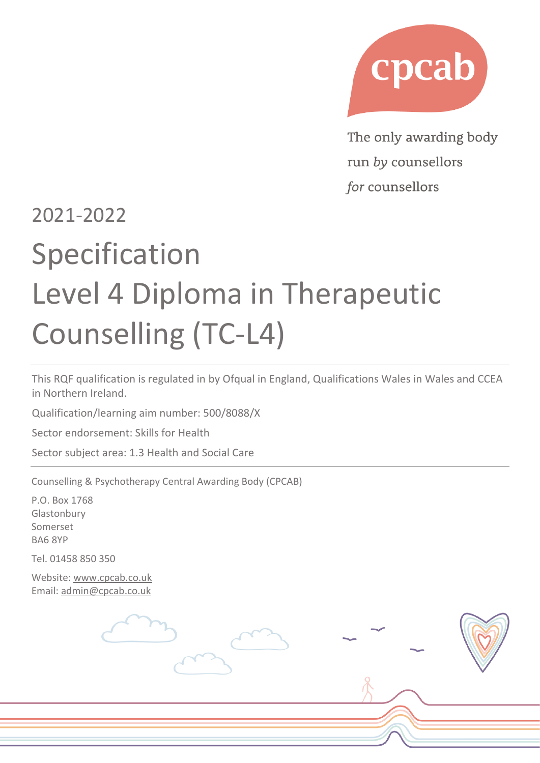

The only awarding body run by counsellors for counsellors

# 2021-2022 Specification Level 4 Diploma in Therapeutic Counselling (TC-L4)

This RQF qualification is regulated in by Ofqual in England, Qualifications Wales in Wales and CCEA in Northern Ireland.

Qualification/learning aim number: 500/8088/X

Sector endorsement: Skills for Health

Sector subject area: 1.3 Health and Social Care

Counselling & Psychotherapy Central Awarding Body (CPCAB)

P.O. Box 1768 Glastonbury Somerset BA6 8YP

Tel. 01458 850 350

Website: [www.cpcab.co.uk](http://www.cpcab.co.uk/) Email: [admin@cpcab.co.uk](mailto:admin@cpcab.co.uk)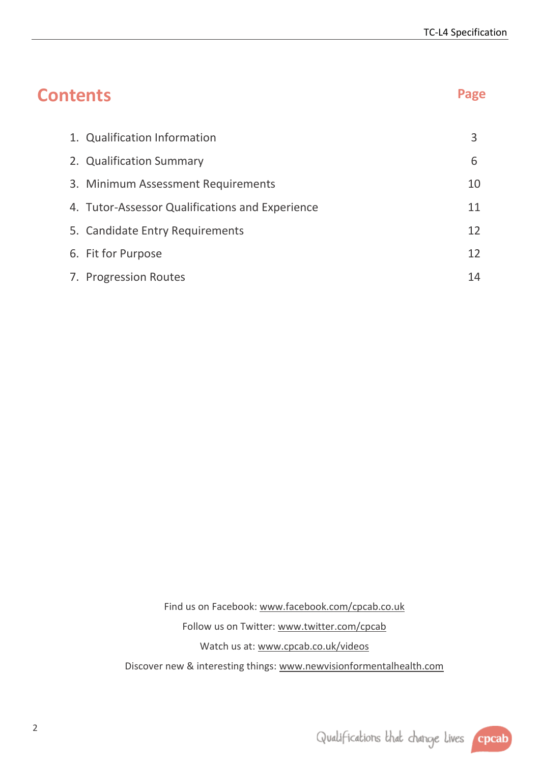| <b>Contents</b>                                 | Page |
|-------------------------------------------------|------|
| 1. Qualification Information                    | 3    |
| 2. Qualification Summary                        | 6    |
| 3. Minimum Assessment Requirements              | 10   |
| 4. Tutor-Assessor Qualifications and Experience | 11   |
| 5. Candidate Entry Requirements                 | 12   |
| 6. Fit for Purpose                              | 12   |
| 7. Progression Routes                           | 14   |

Find us on Facebook: [www.facebook.com/cpcab.co.uk](http://www.facebook.com/cpcab.co.uk) Follow us on Twitter: [www.twitter.com/cpcab](http://www.twitter.com/cpcab) Watch us at: [www.cpcab.co.uk/videos](http://www.cpcab.co.uk/videos) Discover new & interesting things: [www.newvisionformentalhealth.com](http://www.newvisionformentalhealth.com/)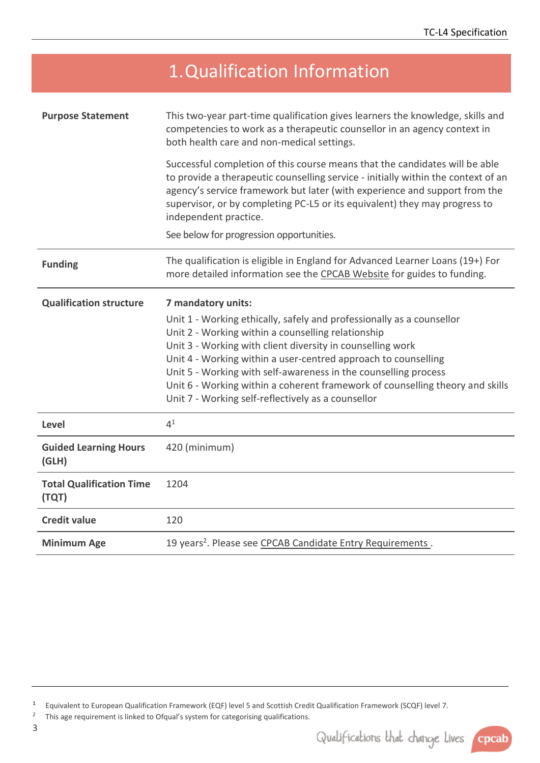<span id="page-2-0"></span>

|                                          | 1. Qualification Information                                                                                                                                                                                                                                                                                                                          |
|------------------------------------------|-------------------------------------------------------------------------------------------------------------------------------------------------------------------------------------------------------------------------------------------------------------------------------------------------------------------------------------------------------|
| <b>Purpose Statement</b>                 | This two-year part-time qualification gives learners the knowledge, skills and<br>competencies to work as a therapeutic counsellor in an agency context in<br>both health care and non-medical settings.                                                                                                                                              |
|                                          | Successful completion of this course means that the candidates will be able<br>to provide a therapeutic counselling service - initially within the context of an<br>agency's service framework but later (with experience and support from the<br>supervisor, or by completing PC-L5 or its equivalent) they may progress to<br>independent practice. |
|                                          | See below for progression opportunities.                                                                                                                                                                                                                                                                                                              |
| <b>Funding</b>                           | The qualification is eligible in England for Advanced Learner Loans (19+) For<br>more detailed information see the CPCAB Website for guides to funding.                                                                                                                                                                                               |
| <b>Qualification structure</b>           | 7 mandatory units:<br>Unit 1 - Working ethically, safely and professionally as a counsellor<br>Unit 2 - Working within a counselling relationship<br>Unit 3 - Working with client diversity in counselling work<br>Unit 4 - Working within a user-centred approach to counselling                                                                     |
|                                          | Unit 5 - Working with self-awareness in the counselling process<br>Unit 6 - Working within a coherent framework of counselling theory and skills<br>Unit 7 - Working self-reflectively as a counsellor                                                                                                                                                |
| Level                                    | 4 <sup>1</sup>                                                                                                                                                                                                                                                                                                                                        |
| <b>Guided Learning Hours</b><br>(GLH)    | 420 (minimum)                                                                                                                                                                                                                                                                                                                                         |
| <b>Total Qualification Time</b><br>(TQT) | 1204                                                                                                                                                                                                                                                                                                                                                  |
| <b>Credit value</b>                      | 120                                                                                                                                                                                                                                                                                                                                                   |

2 This age requirement is linked to Ofqual's system for categorising qualifications.



<sup>1</sup> Equivalent to European Qualification Framework (EQF) level 5 and Scottish Credit Qualification Framework (SCQF) level 7.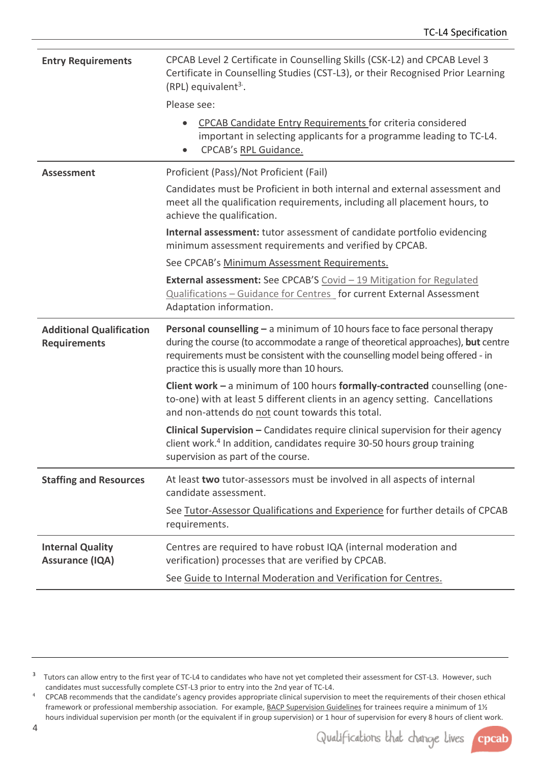| <b>Entry Requirements</b>                              | CPCAB Level 2 Certificate in Counselling Skills (CSK-L2) and CPCAB Level 3<br>Certificate in Counselling Studies (CST-L3), or their Recognised Prior Learning<br>$(RPL)$ equivalent <sup>3</sup> .                                                                                              |  |
|--------------------------------------------------------|-------------------------------------------------------------------------------------------------------------------------------------------------------------------------------------------------------------------------------------------------------------------------------------------------|--|
|                                                        | Please see:                                                                                                                                                                                                                                                                                     |  |
|                                                        | <b>CPCAB Candidate Entry Requirements for criteria considered</b><br>important in selecting applicants for a programme leading to TC-L4.<br>CPCAB's RPL Guidance.<br>$\bullet$                                                                                                                  |  |
| <b>Assessment</b>                                      | Proficient (Pass)/Not Proficient (Fail)                                                                                                                                                                                                                                                         |  |
|                                                        | Candidates must be Proficient in both internal and external assessment and<br>meet all the qualification requirements, including all placement hours, to<br>achieve the qualification.                                                                                                          |  |
|                                                        | Internal assessment: tutor assessment of candidate portfolio evidencing<br>minimum assessment requirements and verified by CPCAB.                                                                                                                                                               |  |
|                                                        | See CPCAB's Minimum Assessment Requirements.                                                                                                                                                                                                                                                    |  |
|                                                        | <b>External assessment:</b> See CPCAB'S Covid - 19 Mitigation for Regulated<br>Qualifications - Guidance for Centres for current External Assessment<br>Adaptation information.                                                                                                                 |  |
|                                                        |                                                                                                                                                                                                                                                                                                 |  |
| <b>Additional Qualification</b><br><b>Requirements</b> | Personal counselling - a minimum of 10 hours face to face personal therapy<br>during the course (to accommodate a range of theoretical approaches), but centre<br>requirements must be consistent with the counselling model being offered - in<br>practice this is usually more than 10 hours. |  |
|                                                        | Client work - a minimum of 100 hours formally-contracted counselling (one-<br>to-one) with at least 5 different clients in an agency setting. Cancellations<br>and non-attends do not count towards this total.                                                                                 |  |
|                                                        | <b>Clinical Supervision –</b> Candidates require clinical supervision for their agency<br>client work. <sup>4</sup> In addition, candidates require 30-50 hours group training<br>supervision as part of the course.                                                                            |  |
| <b>Staffing and Resources</b>                          | At least two tutor-assessors must be involved in all aspects of internal<br>candidate assessment.                                                                                                                                                                                               |  |
|                                                        | See Tutor-Assessor Qualifications and Experience for further details of CPCAB<br>requirements.                                                                                                                                                                                                  |  |
| <b>Internal Quality</b><br><b>Assurance (IQA)</b>      | Centres are required to have robust IQA (internal moderation and<br>verification) processes that are verified by CPCAB.                                                                                                                                                                         |  |



<sup>3</sup> Tutors can allow entry to the first year of TC-L4 to candidates who have not yet completed their assessment for CST-L3. However, such candidates must successfully complete CST-L3 prior to entry into the 2nd year of TC-L4.

<sup>4</sup> CPCAB recommends that the candidate's agency provides appropriate clinical supervision to meet the requirements of their chosen ethical framework or professional membership association. For example, [BACP Supervision Guidelines](https://www.bacp.co.uk/membership/supervision/) for trainees require a minimum of 11/2 hours individual supervision per month (or the equivalent if in group supervision) or 1 hour of supervision for every 8 hours of client work.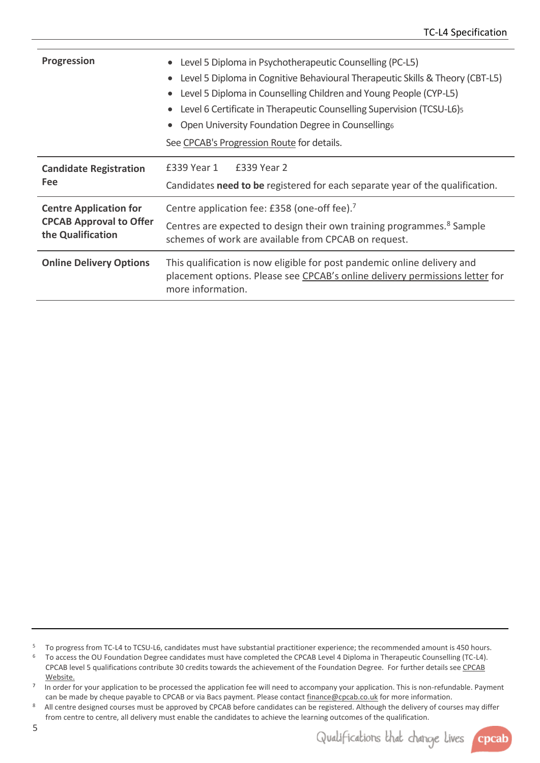| <b>Progression</b>                                                                   | Level 5 Diploma in Psychotherapeutic Counselling (PC-L5)<br>$\bullet$<br>Level 5 Diploma in Cognitive Behavioural Therapeutic Skills & Theory (CBT-L5)<br>$\bullet$<br>Level 5 Diploma in Counselling Children and Young People (CYP-L5)<br>Level 6 Certificate in Therapeutic Counselling Supervision (TCSU-L6)<br>Open University Foundation Degree in Counsellings<br>See CPCAB's Progression Route for details. |  |  |
|--------------------------------------------------------------------------------------|---------------------------------------------------------------------------------------------------------------------------------------------------------------------------------------------------------------------------------------------------------------------------------------------------------------------------------------------------------------------------------------------------------------------|--|--|
| <b>Candidate Registration</b><br><b>Fee</b>                                          | £339 Year 1<br>£339 Year 2<br>Candidates need to be registered for each separate year of the qualification.                                                                                                                                                                                                                                                                                                         |  |  |
| <b>Centre Application for</b><br><b>CPCAB Approval to Offer</b><br>the Qualification | Centre application fee: £358 (one-off fee). <sup>7</sup><br>Centres are expected to design their own training programmes. <sup>8</sup> Sample<br>schemes of work are available from CPCAB on request.                                                                                                                                                                                                               |  |  |
| <b>Online Delivery Options</b>                                                       | This qualification is now eligible for post pandemic online delivery and<br>placement options. Please see CPCAB's online delivery permissions letter for<br>more information.                                                                                                                                                                                                                                       |  |  |

<sup>5</sup> To progress from TC-L4 to TCSU-L6, candidates must have substantial practitioner experience; the recommended amount is 450 hours.

<sup>6</sup> To access the OU Foundation Degree candidates must have completed the CPCAB Level 4 Diploma in Therapeutic Counselling (TC-L4). CPCAB level 5 qualifications contribute 30 credits towards the achievement of the Foundation Degree. For further details se[e CPCAB](http://www.cpcab.co.uk/qualifications/fd-counselling)  [Website.](http://www.cpcab.co.uk/qualifications/fd-counselling)

7 In order for your application to be processed the application fee will need to accompany your application. This is non-refundable. Payment can be made by cheque payable to CPCAB or via Bacs payment. Please contact finance@cpcab.co.uk for more information.

8 All centre designed courses must be approved by CPCAB before candidates can be registered. Although the delivery of courses may differ from centre to centre, all delivery must enable the candidates to achieve the learning outcomes of the qualification.

Qualifications that change lives

cpcab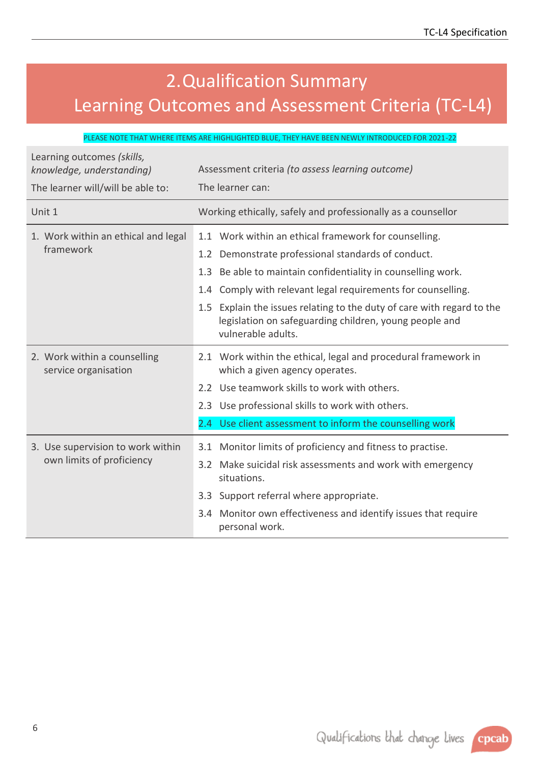# <span id="page-5-0"></span>2.Qualification Summary Learning Outcomes and Assessment Criteria (TC-L4)

#### PLEASE NOTE THAT WHERE ITEMS ARE HIGHLIGHTED BLUE, THEY HAVE BEEN NEWLY INTRODUCED FOR 2021-22

| Learning outcomes (skills,<br>knowledge, understanding) | Assessment criteria (to assess learning outcome)                                                                                                       |  |  |
|---------------------------------------------------------|--------------------------------------------------------------------------------------------------------------------------------------------------------|--|--|
| The learner will/will be able to:                       | The learner can:                                                                                                                                       |  |  |
| Unit 1                                                  | Working ethically, safely and professionally as a counsellor                                                                                           |  |  |
| 1. Work within an ethical and legal<br>framework        | 1.1 Work within an ethical framework for counselling.                                                                                                  |  |  |
|                                                         | Demonstrate professional standards of conduct.<br>1.2 <sub>2</sub>                                                                                     |  |  |
|                                                         | Be able to maintain confidentiality in counselling work.<br>1.3                                                                                        |  |  |
|                                                         | 1.4 Comply with relevant legal requirements for counselling.                                                                                           |  |  |
|                                                         | 1.5 Explain the issues relating to the duty of care with regard to the<br>legislation on safeguarding children, young people and<br>vulnerable adults. |  |  |
| 2. Work within a counselling<br>service organisation    | 2.1 Work within the ethical, legal and procedural framework in<br>which a given agency operates.                                                       |  |  |
|                                                         | 2.2 Use teamwork skills to work with others.                                                                                                           |  |  |
|                                                         | 2.3 Use professional skills to work with others.                                                                                                       |  |  |
|                                                         | 2.4 Use client assessment to inform the counselling work                                                                                               |  |  |
| 3. Use supervision to work within                       | Monitor limits of proficiency and fitness to practise.<br>3.1                                                                                          |  |  |
| own limits of proficiency                               | 3.2 Make suicidal risk assessments and work with emergency<br>situations.                                                                              |  |  |
|                                                         | 3.3 Support referral where appropriate.                                                                                                                |  |  |
|                                                         | 3.4 Monitor own effectiveness and identify issues that require<br>personal work.                                                                       |  |  |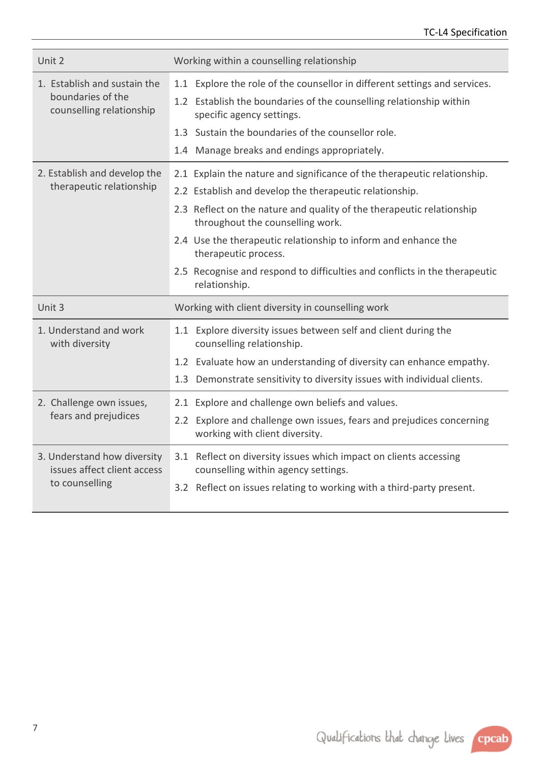| Unit 2                                                                        | Working within a counselling relationship                                                                                                                                                                                                                                                                                                                                                                                                 |
|-------------------------------------------------------------------------------|-------------------------------------------------------------------------------------------------------------------------------------------------------------------------------------------------------------------------------------------------------------------------------------------------------------------------------------------------------------------------------------------------------------------------------------------|
| 1. Establish and sustain the<br>boundaries of the<br>counselling relationship | 1.1 Explore the role of the counsellor in different settings and services.<br>1.2 Establish the boundaries of the counselling relationship within<br>specific agency settings.<br>1.3 Sustain the boundaries of the counsellor role.<br>1.4 Manage breaks and endings appropriately.                                                                                                                                                      |
| 2. Establish and develop the<br>therapeutic relationship                      | 2.1 Explain the nature and significance of the therapeutic relationship.<br>2.2 Establish and develop the therapeutic relationship.<br>2.3 Reflect on the nature and quality of the therapeutic relationship<br>throughout the counselling work.<br>2.4 Use the therapeutic relationship to inform and enhance the<br>therapeutic process.<br>2.5 Recognise and respond to difficulties and conflicts in the therapeutic<br>relationship. |
| Unit 3                                                                        | Working with client diversity in counselling work                                                                                                                                                                                                                                                                                                                                                                                         |
| 1. Understand and work<br>with diversity                                      | 1.1 Explore diversity issues between self and client during the<br>counselling relationship.<br>1.2 Evaluate how an understanding of diversity can enhance empathy.<br>Demonstrate sensitivity to diversity issues with individual clients.<br>1.3                                                                                                                                                                                        |
| 2. Challenge own issues,<br>fears and prejudices                              | 2.1 Explore and challenge own beliefs and values.<br>2.2 Explore and challenge own issues, fears and prejudices concerning<br>working with client diversity.                                                                                                                                                                                                                                                                              |
| 3. Understand how diversity<br>issues affect client access<br>to counselling  | 3.1 Reflect on diversity issues which impact on clients accessing<br>counselling within agency settings.                                                                                                                                                                                                                                                                                                                                  |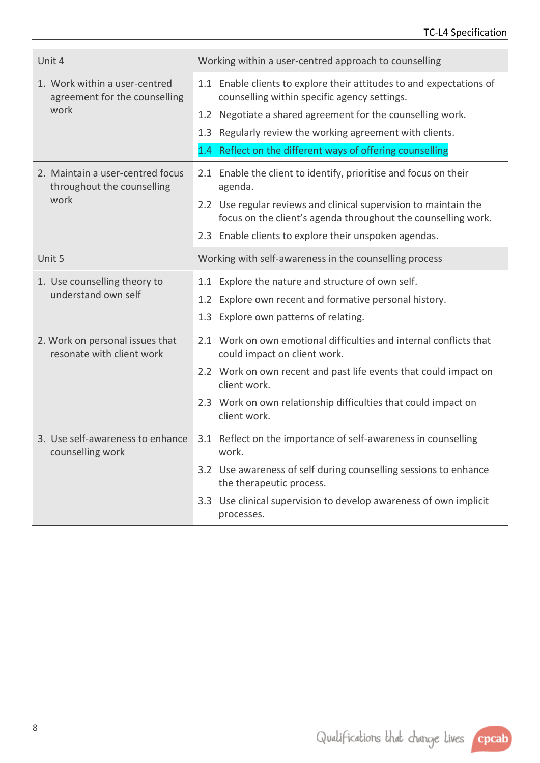TC-L4 Specification

| Unit 4                                                         | Working within a user-centred approach to counselling                                                                             |
|----------------------------------------------------------------|-----------------------------------------------------------------------------------------------------------------------------------|
| 1. Work within a user-centred<br>agreement for the counselling | 1.1 Enable clients to explore their attitudes to and expectations of<br>counselling within specific agency settings.              |
| work                                                           | 1.2 Negotiate a shared agreement for the counselling work.                                                                        |
|                                                                | 1.3 Regularly review the working agreement with clients.                                                                          |
|                                                                | 1.4 Reflect on the different ways of offering counselling                                                                         |
| 2. Maintain a user-centred focus<br>throughout the counselling | 2.1 Enable the client to identify, prioritise and focus on their<br>agenda.                                                       |
| work                                                           | 2.2 Use regular reviews and clinical supervision to maintain the<br>focus on the client's agenda throughout the counselling work. |
|                                                                | 2.3 Enable clients to explore their unspoken agendas.                                                                             |
| Unit 5                                                         | Working with self-awareness in the counselling process                                                                            |
| 1. Use counselling theory to                                   | 1.1 Explore the nature and structure of own self.                                                                                 |
| understand own self                                            | 1.2 Explore own recent and formative personal history.                                                                            |
|                                                                | Explore own patterns of relating.<br>1.3                                                                                          |
| 2. Work on personal issues that<br>resonate with client work   | 2.1 Work on own emotional difficulties and internal conflicts that<br>could impact on client work.                                |
|                                                                | 2.2 Work on own recent and past life events that could impact on<br>client work.                                                  |
|                                                                | 2.3 Work on own relationship difficulties that could impact on<br>client work.                                                    |
| 3. Use self-awareness to enhance<br>counselling work           | 3.1 Reflect on the importance of self-awareness in counselling<br>work.                                                           |
|                                                                | 3.2 Use awareness of self during counselling sessions to enhance<br>the therapeutic process.                                      |
|                                                                | 3.3 Use clinical supervision to develop awareness of own implicit<br>processes.                                                   |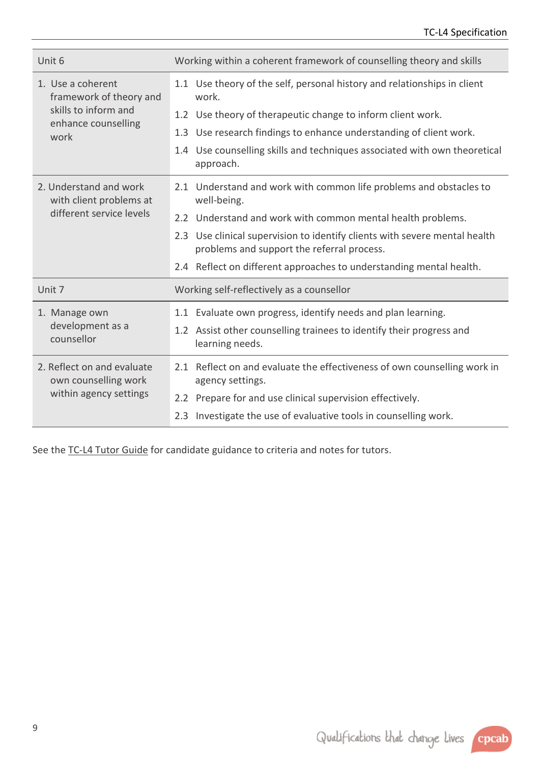| Unit 6                                             | Working within a coherent framework of counselling theory and skills                                                                                    |  |  |  |
|----------------------------------------------------|---------------------------------------------------------------------------------------------------------------------------------------------------------|--|--|--|
| 1. Use a coherent<br>framework of theory and       | 1.1 Use theory of the self, personal history and relationships in client<br>work.                                                                       |  |  |  |
| skills to inform and<br>enhance counselling        | 1.2 Use theory of therapeutic change to inform client work.                                                                                             |  |  |  |
| work                                               | Use research findings to enhance understanding of client work.<br>1.3                                                                                   |  |  |  |
|                                                    | 1.4 Use counselling skills and techniques associated with own theoretical<br>approach.                                                                  |  |  |  |
| 2. Understand and work<br>with client problems at  | 2.1 Understand and work with common life problems and obstacles to<br>well-being.                                                                       |  |  |  |
| different service levels                           | 2.2 Understand and work with common mental health problems.                                                                                             |  |  |  |
|                                                    | Use clinical supervision to identify clients with severe mental health<br>2.3<br>problems and support the referral process.                             |  |  |  |
|                                                    | 2.4 Reflect on different approaches to understanding mental health.                                                                                     |  |  |  |
| Unit 7                                             | Working self-reflectively as a counsellor                                                                                                               |  |  |  |
| 1. Manage own<br>development as a<br>counsellor    | 1.1 Evaluate own progress, identify needs and plan learning.<br>1.2 Assist other counselling trainees to identify their progress and<br>learning needs. |  |  |  |
| 2. Reflect on and evaluate<br>own counselling work | 2.1 Reflect on and evaluate the effectiveness of own counselling work in<br>agency settings.                                                            |  |  |  |
| within agency settings                             | 2.2 Prepare for and use clinical supervision effectively.                                                                                               |  |  |  |
|                                                    | Investigate the use of evaluative tools in counselling work.<br>2.3                                                                                     |  |  |  |

See the [TC-L4 Tutor Guide](http://www.cpcab.co.uk/public_docs/tc-l4_tutor_guide) for candidate guidance to criteria and notes for tutors.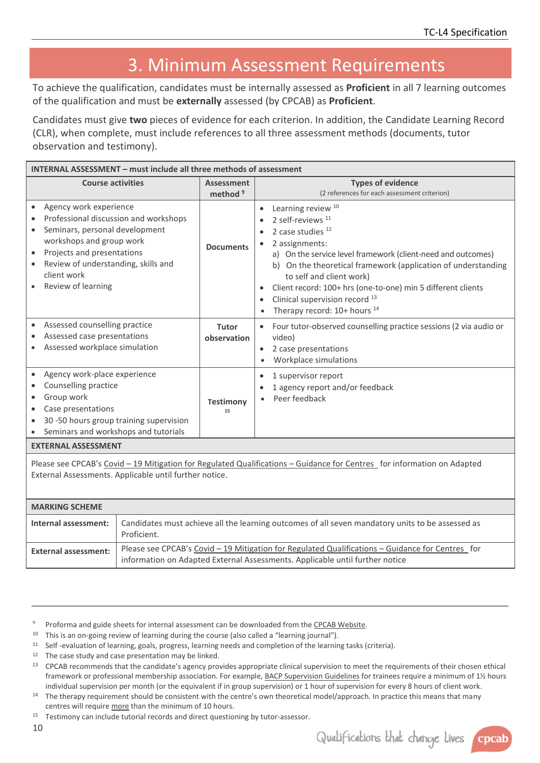# <span id="page-9-0"></span>3. Minimum Assessment Requirements

To achieve the qualification, candidates must be internally assessed as **Proficient** in all 7 learning outcomes of the qualification and must be **externally** assessed (by CPCAB) as **Proficient**.

Candidates must give **two** pieces of evidence for each criterion. In addition, the Candidate Learning Record (CLR), when complete, must include references to all three assessment methods (documents, tutor observation and testimony).

| INTERNAL ASSESSMENT - must include all three methods of assessment                                                                                                                                                                      |                                          |                                                                                                                                                                                                                                                                                                                                                                                                                                                          |  |  |
|-----------------------------------------------------------------------------------------------------------------------------------------------------------------------------------------------------------------------------------------|------------------------------------------|----------------------------------------------------------------------------------------------------------------------------------------------------------------------------------------------------------------------------------------------------------------------------------------------------------------------------------------------------------------------------------------------------------------------------------------------------------|--|--|
| <b>Course activities</b>                                                                                                                                                                                                                | <b>Assessment</b><br>method <sup>9</sup> | <b>Types of evidence</b><br>(2 references for each assessment criterion)                                                                                                                                                                                                                                                                                                                                                                                 |  |  |
| Agency work experience<br>Professional discussion and workshops<br>Seminars, personal development<br>workshops and group work<br>Projects and presentations<br>Review of understanding, skills and<br>client work<br>Review of learning | <b>Documents</b>                         | Learning review <sup>10</sup><br>2 self-reviews <sup>11</sup><br>2 case studies $12$<br>2 assignments:<br>a) On the service level framework (client-need and outcomes)<br>On the theoretical framework (application of understanding<br>b)<br>to self and client work)<br>Client record: 100+ hrs (one-to-one) min 5 different clients<br>$\bullet$<br>Clinical supervision record <sup>13</sup><br>$\bullet$<br>Therapy record: 10+ hours <sup>14</sup> |  |  |
| Assessed counselling practice<br>Assessed case presentations<br>Assessed workplace simulation                                                                                                                                           | Tutor<br>observation                     | Four tutor-observed counselling practice sessions (2 via audio or<br>video)<br>2 case presentations<br>$\bullet$<br>Workplace simulations<br>$\bullet$                                                                                                                                                                                                                                                                                                   |  |  |
| Agency work-place experience<br>Counselling practice<br>Group work<br>Case presentations<br>30 -50 hours group training supervision<br>Seminars and workshops and tutorials                                                             | <b>Testimony</b><br>15                   | 1 supervisor report<br>$\bullet$<br>1 agency report and/or feedback<br>Peer feedback                                                                                                                                                                                                                                                                                                                                                                     |  |  |
| <b>EXTERNAL ASSESSMENT</b>                                                                                                                                                                                                              |                                          |                                                                                                                                                                                                                                                                                                                                                                                                                                                          |  |  |
| Please see CPCAB's Covid - 19 Mitigation for Regulated Qualifications - Guidance for Centres for information on Adapted                                                                                                                 |                                          |                                                                                                                                                                                                                                                                                                                                                                                                                                                          |  |  |

External Assessments. Applicable until further notice.

| <b>MARKING SCHEME</b>       |                                                                                                                                                                                  |  |  |
|-----------------------------|----------------------------------------------------------------------------------------------------------------------------------------------------------------------------------|--|--|
| Internal assessment:        | Candidates must achieve all the learning outcomes of all seven mandatory units to be assessed as<br>Proficient.                                                                  |  |  |
| <b>External assessment:</b> | Please see CPCAB's Covid - 19 Mitigation for Regulated Qualifications - Guidance for Centres for<br>information on Adapted External Assessments. Applicable until further notice |  |  |

- <sup>9</sup> Proforma and guide sheets for internal assessment can be downloaded from th[e CPCAB Website.](https://www.cpcab.co.uk/qualifications/tc-l4)
- <sup>10</sup> This is an on-going review of learning during the course (also called a "learning journal").
- <sup>11</sup> Self -evaluation of learning, goals, progress, learning needs and completion of the learning tasks (criteria).
- <sup>12</sup> The case study and case presentation may be linked.
- <sup>13</sup> CPCAB recommends that the candidate's agency provides appropriate clinical supervision to meet the requirements of their chosen ethical framework or professional membership association. For example, [BACP Supervision Guidelines](https://www.bacp.co.uk/membership/supervision/) for trainees require a minimum of 1½ hours individual supervision per month (or the equivalent if in group supervision) or 1 hour of supervision for every 8 hours of client work.
- <sup>14</sup> The therapy requirement should be consistent with the centre's own theoretical model/approach. In practice this means that many centres will require more than the minimum of 10 hours.
- <sup>15</sup> Testimony can include tutorial records and direct questioning by tutor-assessor.

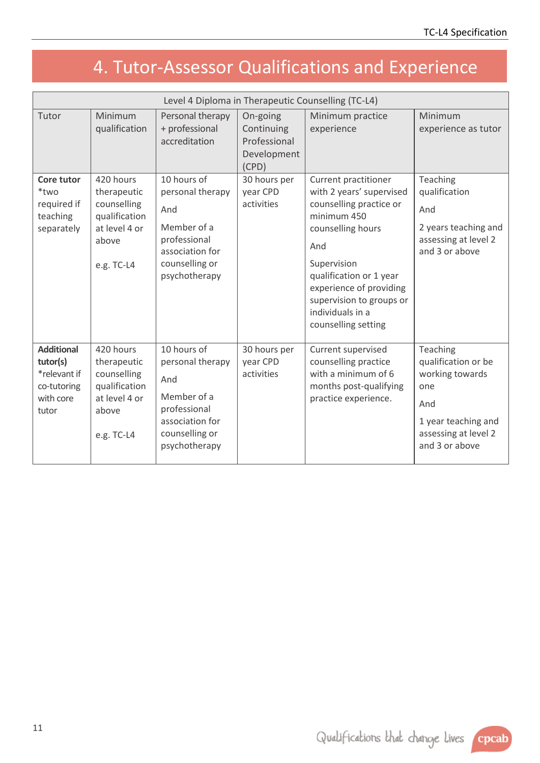# <span id="page-10-0"></span>4. Tutor-Assessor Qualifications and Experience

| Level 4 Diploma in Therapeutic Counselling (TC-L4)                                 |                                                                                                  |                                                                                                                             |                                                                |                                                                                                                                                                                                                                                                    |                                                                                                                                   |
|------------------------------------------------------------------------------------|--------------------------------------------------------------------------------------------------|-----------------------------------------------------------------------------------------------------------------------------|----------------------------------------------------------------|--------------------------------------------------------------------------------------------------------------------------------------------------------------------------------------------------------------------------------------------------------------------|-----------------------------------------------------------------------------------------------------------------------------------|
| Tutor                                                                              | Minimum<br>qualification                                                                         | Personal therapy<br>+ professional<br>accreditation                                                                         | On-going<br>Continuing<br>Professional<br>Development<br>(CPD) | Minimum practice<br>experience                                                                                                                                                                                                                                     | Minimum<br>experience as tutor                                                                                                    |
| Core tutor<br>*two<br>required if<br>teaching<br>separately                        | 420 hours<br>therapeutic<br>counselling<br>qualification<br>at level 4 or<br>above<br>e.g. TC-L4 | 10 hours of<br>personal therapy<br>And<br>Member of a<br>professional<br>association for<br>counselling or<br>psychotherapy | 30 hours per<br>year CPD<br>activities                         | Current practitioner<br>with 2 years' supervised<br>counselling practice or<br>minimum 450<br>counselling hours<br>And<br>Supervision<br>qualification or 1 year<br>experience of providing<br>supervision to groups or<br>individuals in a<br>counselling setting | Teaching<br>qualification<br>And<br>2 years teaching and<br>assessing at level 2<br>and 3 or above                                |
| <b>Additional</b><br>tutor(s)<br>*relevant if<br>co-tutoring<br>with core<br>tutor | 420 hours<br>therapeutic<br>counselling<br>qualification<br>at level 4 or<br>above<br>e.g. TC-L4 | 10 hours of<br>personal therapy<br>And<br>Member of a<br>professional<br>association for<br>counselling or<br>psychotherapy | 30 hours per<br>year CPD<br>activities                         | Current supervised<br>counselling practice<br>with a minimum of 6<br>months post-qualifying<br>practice experience.                                                                                                                                                | Teaching<br>qualification or be<br>working towards<br>one<br>And<br>1 year teaching and<br>assessing at level 2<br>and 3 or above |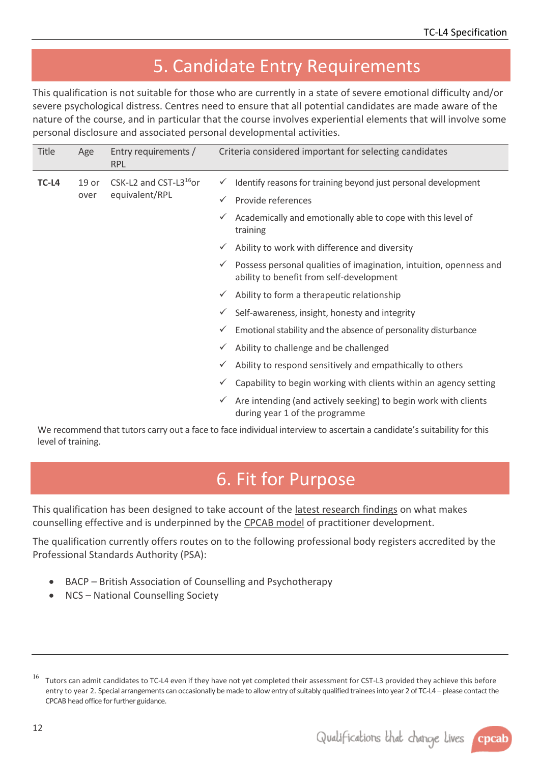### <span id="page-11-0"></span>5. Candidate Entry Requirements

This qualification is not suitable for those who are currently in a state of severe emotional difficulty and/or severe psychological distress. Centres need to ensure that all potential candidates are made aware of the nature of the course, and in particular that the course involves experiential elements that will involve some personal disclosure and associated personal developmental activities.

| <b>Title</b> | Age              | Entry requirements /<br><b>RPL</b> | Criteria considered important for selecting candidates |                                                                                                                |  |
|--------------|------------------|------------------------------------|--------------------------------------------------------|----------------------------------------------------------------------------------------------------------------|--|
| TC-L4        | 19 <sub>or</sub> | CSK-L2 and CST-L3 <sup>16</sup> or | $\checkmark$                                           | Identify reasons for training beyond just personal development                                                 |  |
|              | over             | equivalent/RPL                     | $\checkmark$                                           | Provide references                                                                                             |  |
|              |                  |                                    | ✓                                                      | Academically and emotionally able to cope with this level of<br>training                                       |  |
|              |                  |                                    | $\checkmark$                                           | Ability to work with difference and diversity                                                                  |  |
|              |                  |                                    | $\checkmark$                                           | Possess personal qualities of imagination, intuition, openness and<br>ability to benefit from self-development |  |
|              |                  |                                    | $\checkmark$                                           | Ability to form a therapeutic relationship                                                                     |  |
|              |                  |                                    | ✓                                                      | Self-awareness, insight, honesty and integrity                                                                 |  |
|              |                  |                                    | $\checkmark$                                           | Emotional stability and the absence of personality disturbance                                                 |  |
|              |                  |                                    | ✓                                                      | Ability to challenge and be challenged                                                                         |  |
|              |                  |                                    | V                                                      | Ability to respond sensitively and empathically to others                                                      |  |
|              |                  |                                    | ✓                                                      | Capability to begin working with clients within an agency setting                                              |  |
|              |                  |                                    | ✓                                                      | Are intending (and actively seeking) to begin work with clients<br>during year 1 of the programme              |  |

We recommend that tutors carry out a face to face individual interview to ascertain a candidate's suitability for this level of training.

### <span id="page-11-1"></span>6. Fit for Purpose

<span id="page-11-2"></span>This qualification has been designed to take account of the [latest research findings](http://www.cpcab.co.uk/qualifications/the-cpcab-model) on what makes counselling effective and is underpinned by the [CPCAB model](http://www.cpcab.co.uk/public_docs/cpcab_model) of practitioner development.

The qualification currently offers routes on to the following professional body registers accredited by the Professional Standards Authority (PSA):

- BACP British Association of Counselling and Psychotherapy
- NCS National Counselling Society



<sup>&</sup>lt;sup>16</sup> Tutors can admit candidates to TC-L4 even if they have not yet completed their assessment for CST-L3 provided they achieve this before entry to year 2. Special arrangements can occasionally be made to allow entry of suitably qualified trainees into year 2 of TC-L4 – please contact the CPCAB head office for further guidance.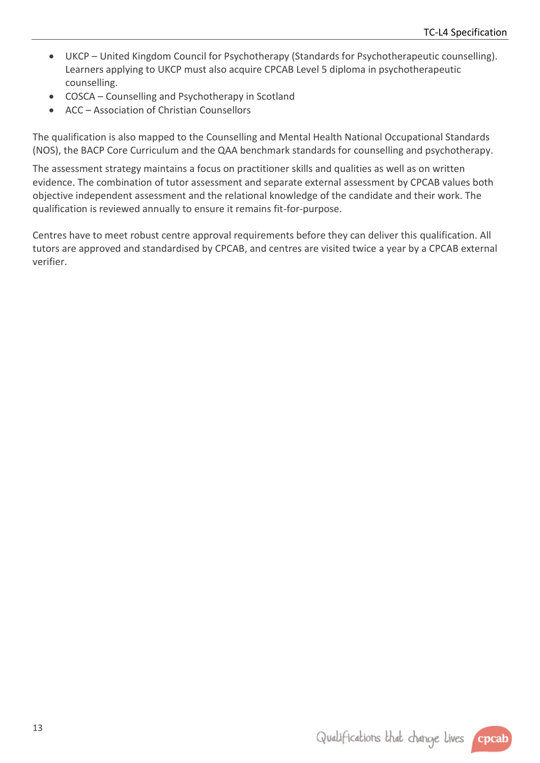- UKCP United Kingdom Council for Psychotherapy (Standards for Psychotherapeutic counselling). Learners applying to UKCP must also acquire CPCAB Level 5 diploma in psychotherapeutic counselling.
- COSCA Counselling and Psychotherapy in Scotland
- ACC Association of Christian Counsellors

The qualification is also mapped to the Counselling and Mental Health National Occupational Standards (NOS), the BACP Core Curriculum and the QAA benchmark standards for counselling and psychotherapy.

The assessment strategy maintains a focus on practitioner skills and qualities as well as on written evidence. The combination of tutor assessment and separate external assessment by CPCAB values both objective independent assessment and the relational knowledge of the candidate and their work. The qualification is reviewed annually to ensure it remains fit-for-purpose.

Centres have to meet robust centre approval requirements before they can deliver this qualification. All tutors are approved and standardised by CPCAB, and centres are visited twice a year by a CPCAB external verifier.